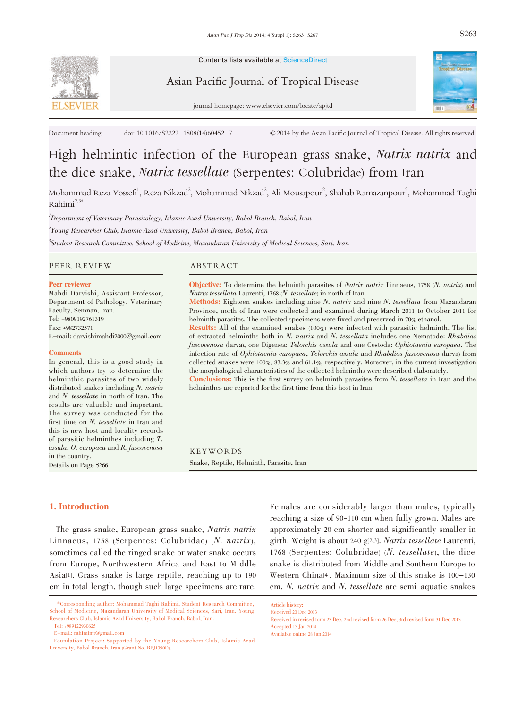

Contents lists available at ScienceDirect

Asian Pacific Journal of Tropical Disease



journal homepage: www.elsevier.com/locate/apjtd

Document heading doi: 10.1016/S2222-1808(14)60452-7 © 2014 by the Asian Pacific Journal of Tropical Disease. All rights reserved.

# High helmintic infection of the European grass snake, Natrix natrix and the dice snake, Natrix tessellate (Serpentes: Colubridae) from Iran

Mohammad Reza Yossefi $^1$ , Reza Nikzad $^2$ , Mohammad Nikzad $^2$ , Ali Mousapour $^2$ , Shahab Ramazanpour $^2$ , Mohammad Taghi  $Rahimi<sup>2,3*</sup>$ 

<sup>1</sup>Department of Veterinary Parasitology, Islamic Azad University, Babol Branch, Babol, Iran  $^2$ Young Researcher Club, Islamic Azad University, Babol Branch, Babol, Iran 3 Student Research Committee, School of Medicine, Mazandaran University of Medical Sciences, Sari, Iran

#### PEER REVIEW ABSTRACT

#### Peer reviewer

Mahdi Darvishi, Assistant Professor, Department of Pathology, Veterinary Faculty, Semnan, Iran. Tel: +9809192761319 Fax: +982732571 E-mail: darvishimahdi2000@gmail.com

#### **Comments**

In general, this is a good study in which authors try to determine the helminthic parasites of two widely distributed snakes including N. natrix and N. tessellate in north of Iran. The results are valuable and important. The survey was conducted for the first time on N. tessellate in Iran and this is new host and locality records of parasitic helminthes including T. assula, O. europaea and R. fuscovenosa in the country. Details on Page S266

Objective: To determine the helminth parasites of Natrix natrix Linnaeus, <sup>1758</sup> (N. natrix) and Natrix tessellata Laurenti, <sup>1768</sup> (N. tessellate) in north of Iran.

Methods: Eighteen snakes including nine N. natrix and nine N. tessellata from Mazandaran Province, north of Iran were collected and examined during March 2011 to October 2011 for helminth parasites. The collected specimens were fixed and preserved in 70% ethanol.

Results: All of the examined snakes (100%) were infected with parasitic helminth. The list of extracted helminths both in N. natrix and N. tessellata includes one Nematode: Rhabdias fuscovenosa (larva), one Digenea: Telorchis assula and one Cestoda: Ophiotaenia europaea. The infection rate of Ophiotaenia europaea, Telorchis assula and Rhabdias fuscovenosa (larva) from collected snakes were 100%, 83.3% and 61.1%, respectively. Moreover, in the current investigation the morphological characteristics of the collected helminths were described elaborately. Conclusions: This is the first survey on helminth parasites from N. tessellata in Iran and the

helminthes are reported for the first time from this host in Iran.

KEYWORDS Snake, Reptile, Helminth, Parasite, Iran

#### 1. Introduction

The grass snake, European grass snake, Natrix natrix Linnaeus, <sup>1758</sup> (Serpentes: Colubridae) (N. natrix), sometimes called the ringed snake or water snake occurs from Europe, Northwestern Africa and East to Middle Asia[1]. Grass snake is large reptile, reaching up to 190 cm in total length, though such large specimens are rare.

Females are considerably larger than males, typically reaching a size of 90-110 cm when fully grown. Males are approximately 20 cm shorter and significantly smaller in girth. Weight is about <sup>240</sup> g[2,3]. Natrix tessellate Laurenti, <sup>1768</sup> (Serpentes: Colubridae) (N. tessellate), the dice snake is distributed from Middle and Southern Europe to Western China[4]. Maximum size of this snake is 100-130 cm. N. natrix and N. tessellate are semi-aquatic snakes

<sup>\*</sup>Corresponding author: Mohammad Taghi Rahimi, Student Research Committee, School of Medicine, Mazandaran University of Medical Sciences, Sari, Iran. Young Researchers Club, Islamic Azad University, Babol Branch, Babol, Iran.

Tel: +989122930625

E-mail: rahimimt@gmail.com

Foundation Project: Supported by the Young Researchers Club, Islamic Azad University, Babol Branch, Iran (Grant No. BPJ1390D).

Article history: Received 20 Dec 2013

Received in revised form 23 Dec, 2nd revised form 26 Dec, 3rd revised form 31 Dec 2013 Accepted 15 Jan 2014

Available online 28 Jan 2014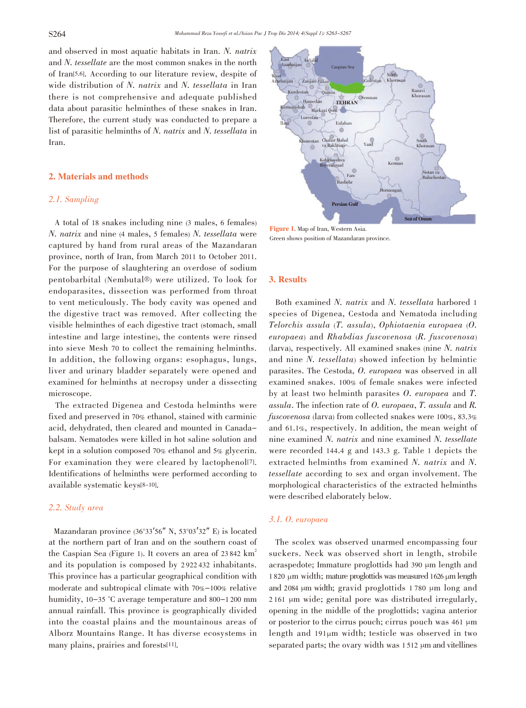and observed in most aquatic habitats in Iran. N. natrix and N. tessellate are the most common snakes in the north of Iran[5,6]. According to our literature review, despite of wide distribution of N. natrix and N. tessellata in Iran there is not comprehensive and adequate published data about parasitic helminthes of these snakes in Iran. Therefore, the current study was conducted to prepare a list of parasitic helminths of N. natrix and N. tessellata in Iran.

#### 2. Materials and methods

#### 2.1. Sampling

A total of 18 snakes including nine (3 males, 6 females) N. natrix and nine (4 males, <sup>5</sup> females) N. tessellata were captured by hand from rural areas of the Mazandaran province, north of Iran, from March 2011 to October 2011. For the purpose of slaughtering an overdose of sodium pentobarbital (Nembutal®) were utilized. To look for endoparasites, dissection was performed from throat to vent meticulously. The body cavity was opened and the digestive tract was removed. After collecting the visible helminthes of each digestive tract (stomach, small intestine and large intestine), the contents were rinsed into sieve Mesh 70 to collect the remaining helminths. In addition, the following organs: esophagus, lungs, liver and urinary bladder separately were opened and examined for helminths at necropsy under a dissecting microscope.

The extracted Digenea and Cestoda helminths were fixed and preserved in 70% ethanol, stained with carminic acid, dehydrated, then cleared and mounted in Canadabalsam. Nematodes were killed in hot saline solution and kept in a solution composed 70% ethanol and 5% glycerin. For examination they were cleared by lactophenol<sup>[7]</sup>. Identifications of helminths were performed according to available systematic keys[8-10].

# 2.2. Study area

Mazandaran province (36°33′56″ N, <sup>53</sup>°03′32″ E) is located at the northern part of Iran and on the southern coast of the Caspian Sea (Figure 1). It covers an area of  $23842 \text{ km}^2$ and its population is composed by 2 922 432 inhabitants. This province has a particular geographical condition with moderate and subtropical climate with 70%-100% relative humidity, 10-35 °C average temperature and 800-1 200 mm annual rainfall. This province is geographically divided into the coastal plains and the mountainous areas of Alborz Mountains Range. It has diverse ecosystems in many plains, prairies and forests[11].



Figure 1. Map of Iran, Western Asia. Green shows position of Mazandaran province.

#### 3. Results

Both examined N. natrix and N. tessellata harbored <sup>1</sup> species of Digenea, Cestoda and Nematoda including Telorchis assula (T. assula), Ophiotaenia europaea (O. europaea) and Rhabdias fuscovenosa (R. fuscovenosa) (larva), respectively. All examined snakes (nine N. natrix and nine N. tessellata) showed infection by helmintic parasites. The Cestoda, O. europaea was observed in all examined snakes. 100% of female snakes were infected by at least two helminth parasites O. europaea and T. assula. The infection rate of O. europaea, T. assula and R. fuscovenosa (larva) from collected snakes were 100%, 83.3% and 61.1%, respectively. In addition, the mean weight of nine examined N. natrix and nine examined N. tessellate were recorded 144.4 g and 143.3 g. Table 1 depicts the extracted helminths from examined N. natrix and N. tessellate according to sex and organ involvement. The morphological characteristics of the extracted helminths were described elaborately below.

## 3.1. O. europaea

The scolex was observed unarmed encompassing four suckers. Neck was observed short in length, strobile acraspedote; Immature proglottids had 390 µm length and 1820 µm width; mature proglottids was measured 1626 µm length and 2084 µm width; gravid proglottids 1780 µm long and 2.161 µm wide; genital pore was distributed irregularly, opening in the middle of the proglottids; vagina anterior or posterior to the cirrus pouch; cirrus pouch was 461 µm length and 191µm width; testicle was observed in two separated parts; the ovary width was  $1512 \mu m$  and vitellines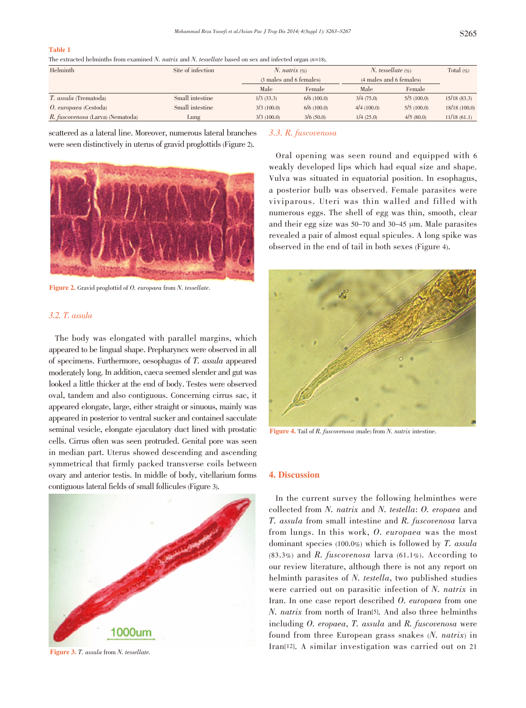#### Table 1

The extracted helminths from examined N. natrix and N. tessellate based on sex and infected organ  $(n=18)$ .

| Helminth                          | Site of infection | N. natrix $(\%$<br>(3 males and 6 females) |            | <i>N.</i> tessellate $(\% )$<br>(4 males and 6 females) |            | Total $(\%)$ |
|-----------------------------------|-------------------|--------------------------------------------|------------|---------------------------------------------------------|------------|--------------|
|                                   |                   |                                            |            |                                                         |            |              |
|                                   |                   | Male                                       | Female     | Male                                                    | Female     |              |
| <i>T. assula</i> (Trematoda)      | Small intestine   | $1/3$ (33.3)                               | 6/6(100.0) | 3/4(75.0)                                               | 5/5(100.0) | 15/18(83.3)  |
| O. europaea (Cestoda)             | Small intestine   | 3/3(100.0)                                 | 6/6(100.0) | 4/4(100.0)                                              | 5/5(100.0) | 18/18(100.0) |
| R. fuscovenosa (Larva) (Nematoda) | Lung              | 3/3(100.0)                                 | 3/6(50.0)  | 1/4(25.0)                                               | 4/5(80.0)  | 11/18(61.1)  |

scattered as a lateral line. Moreover, numerous lateral branches were seen distinctively in uterus of gravid proglottids(Figure 2).



Figure 2. Gravid proglottid of O. europaea from N. tessellate.

# 3.2. T. assula

The body was elongated with parallel margins, which appeared to be lingual shape. Prepharynex were observed in all of specimens. Furthermore, oesophagus of T. assula appeared moderately long. In addition, caeca seemed slender and gut was looked a little thicker at the end of body. Testes were observed oval, tandem and also contiguous. Concerning cirrus sac, it appeared elongate, large, either straight or sinuous, mainly was appeared in posterior to ventral sucker and contained sacculate seminal vesicle, elongate ejaculatory duct lined with prostatic cells. Cirrus often was seen protruded. Genital pore was seen in median part. Uterus showed descending and ascending symmetrical that firmly packed transverse coils between ovary and anterior testis. In middle of body, vitellarium forms contiguous lateral fields of small follicules (Figure 3).



Figure 3. T. assula from N. tessellate.

#### 3.3. R. fuscovenosa

Oral opening was seen round and equipped with 6 weakly developed lips which had equal size and shape. Vulva was situated in equatorial position. In esophagus, a posterior bulb was observed. Female parasites were viviparous. Uteri was thin walled and filled with numerous eggs. The shell of egg was thin, smooth, clear and their egg size was  $50-70$  and  $30-45$  µm. Male parasites revealed a pair of almost equal spicules. A long spike was observed in the end of tail in both sexes (Figure 4).



Figure 4. Tail of R. fuscovenosa (male) from N. natrix intestine.

#### 4. Discussion

In the current survey the following helminthes were collected from N. natrix and N. testella: O. eropaea and T. assula from small intestine and R. fuscovenosa larva from lungs. In this work, O. europaea was the most dominant species (100.0%) which is followed by T. assula  $(83.3%)$  and R. fuscovenosa larva  $(61.1%).$  According to our review literature, although there is not any report on helminth parasites of N. testella, two published studies were carried out on parasitic infection of N. natrix in Iran. In one case report described O. europaea from one N. natrix from north of Iran[5]. And also three helminths including O. eropaea, T. assula and R. fuscovenosa were found from three European grass snakes (N. natrix) in Iran[12]. A similar investigation was carried out on 21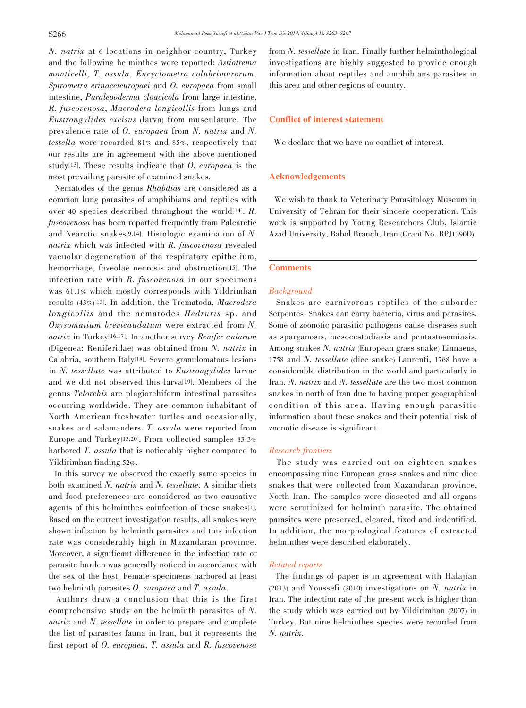N. natrix at <sup>6</sup> locations in neighbor country, Turkey and the following helminthes were reported: Astiotrema monticelli, T. assula, Encyclometra colubrimurorum, Spirometra erinaceieuropaei and O. europaea from small intestine, Paralepoderma cloacicola from large intestine, R. fuscovenosa, Macrodera longicollis from lungs and Eustrongylides excisus (larva) from musculature. The prevalence rate of O. europaea from N. natrix and N. testella were recorded 81% and 85%, respectively that our results are in agreement with the above mentioned study<sup>[13]</sup>. These results indicate that  $O$ . *europaea* is the most prevailing parasite of examined snakes.

Nematodes of the genus Rhabdias are considered as a common lung parasites of amphibians and reptiles with over <sup>40</sup> species described throughout the world[14]. R. fuscovenosa has been reported frequently from Palearctic and Nearctic snakes[9,14]. Histologic examination of N. natrix which was infected with R. fuscovenosa revealed vacuolar degeneration of the respiratory epithelium, hemorrhage, faveolae necrosis and obstruction[15]. The infection rate with R. fuscovenosa in our specimens was 61.1% which mostly corresponds with Yildrimhan results (43%)[13]. In addition, the Trematoda, Macrodera longicollis and the nematodes Hedruris sp. and Oxysomatium brevicaudatum were extracted from N. natrix in Turkey[16,17]. In another survey Renifer aniarum (Digenea: Reniferidae) was obtained from N. natrix in Calabria, southern Italy[18]. Severe granulomatous lesions in N. tessellate was attributed to Eustrongylides larvae and we did not observed this larva[19]. Members of the genus Telorchis are plagiorchiform intestinal parasites occurring worldwide. They are common inhabitant of North American freshwater turtles and occasionally, snakes and salamanders. T. assula were reported from Europe and Turkey[13,20]. From collected samples 83.3% harbored T. assula that is noticeably higher compared to Yildirimhan finding 52%.

In this survey we observed the exactly same species in both examined N. natrix and N. tessellate. A similar diets and food preferences are considered as two causative agents of this helminthes coinfection of these snakes[1]. Based on the current investigation results, all snakes were shown infection by helminth parasites and this infection rate was considerably high in Mazandaran province. Moreover, a significant difference in the infection rate or parasite burden was generally noticed in accordance with the sex of the host. Female specimens harbored at least two helminth parasites O. europaea and T. assula.

Authors draw a conclusion that this is the first comprehensive study on the helminth parasites of N. natrix and N. tessellate in order to prepare and complete the list of parasites fauna in Iran, but it represents the first report of O. europaea, T. assula and R. fuscovenosa

from N. tessellate in Iran. Finally further helminthological investigations are highly suggested to provide enough information about reptiles and amphibians parasites in this area and other regions of country.

# Conflict of interest statement

We declare that we have no conflict of interest.

## Acknowledgements

We wish to thank to Veterinary Parasitology Museum in University of Tehran for their sincere cooperation. This work is supported by Young Researchers Club, Islamic Azad University, Babol Branch, Iran (Grant No. BPJ1390D).

## **Comments**

#### Background

Snakes are carnivorous reptiles of the suborder Serpentes. Snakes can carry bacteria, virus and parasites. Some of zoonotic parasitic pathogens cause diseases such as sparganosis, mesocestodiasis and pentastosomiasis. Among snakes N. natrix (European grass snake) Linnaeus, <sup>1758</sup> and N. tessellate (dice snake) Laurenti, <sup>1768</sup> have a considerable distribution in the world and particularly in Iran. N. natrix and N. tessellate are the two most common snakes in north of Iran due to having proper geographical condition of this area. Having enough parasitic information about these snakes and their potential risk of zoonotic disease is significant.

## Research frontiers

The study was carried out on eighteen snakes encompassing nine European grass snakes and nine dice snakes that were collected from Mazandaran province, North Iran. The samples were dissected and all organs were scrutinized for helminth parasite. The obtained parasites were preserved, cleared, fixed and indentified. In addition, the morphological features of extracted helminthes were described elaborately.

# Related reports

The findings of paper is in agreement with Halajian (2013) and Youssefi (2010) investigations on N. natrix in Iran. The infection rate of the present work is higher than the study which was carried out by Yildirimhan (2007) in Turkey. But nine helminthes species were recorded from N. natrix.